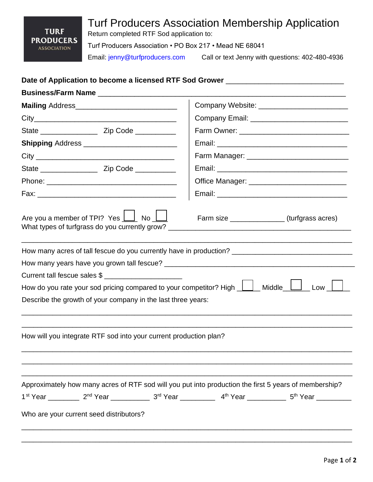## Turf Producers Association Membership Application **TURF** Return completed RTF Sod application to: **PRODUCERS** Turf Producers Association • PO Box 217 • Mead NE 68041 **ASSOCIATION**

Email: jenny@turfproducers.com Call or text Jenny with questions: 402-480-4936

## **Date of Application to become a licensed RTF Sod Grower** \_\_\_\_\_\_\_\_\_\_\_\_\_\_\_\_\_\_\_\_\_\_\_\_\_\_\_\_\_

|                                                                                                       | Company Website: ____________________________ |
|-------------------------------------------------------------------------------------------------------|-----------------------------------------------|
|                                                                                                       |                                               |
|                                                                                                       |                                               |
|                                                                                                       |                                               |
|                                                                                                       |                                               |
|                                                                                                       |                                               |
|                                                                                                       |                                               |
|                                                                                                       |                                               |
| Are you a member of TPI? Yes $\boxed{\phantom{a}}$ No $\boxed{\phantom{a}}$                           | Farm size _________________(turfgrass acres)  |
| How many acres of tall fescue do you currently have in production? _________________________________  |                                               |
|                                                                                                       |                                               |
| Current tall fescue sales \$                                                                          |                                               |
| How do you rate your sod pricing compared to your competitor? High $\Box$ Middle $\Box$ Low $\Box$    |                                               |
| Describe the growth of your company in the last three years:                                          |                                               |
| How will you integrate RTF sod into your current production plan?                                     |                                               |
| Approximately how many acres of RTF sod will you put into production the first 5 years of membership? |                                               |
|                                                                                                       |                                               |
| Who are your current seed distributors?                                                               |                                               |
|                                                                                                       |                                               |

\_\_\_\_\_\_\_\_\_\_\_\_\_\_\_\_\_\_\_\_\_\_\_\_\_\_\_\_\_\_\_\_\_\_\_\_\_\_\_\_\_\_\_\_\_\_\_\_\_\_\_\_\_\_\_\_\_\_\_\_\_\_\_\_\_\_\_\_\_\_\_\_\_\_\_\_\_\_\_\_\_\_\_\_\_